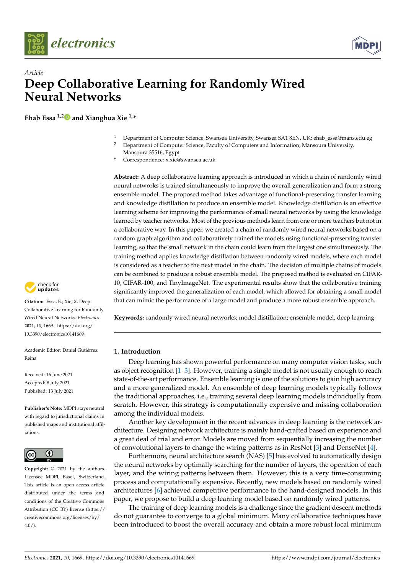



# *Article* **Deep Collaborative Learning for Randomly Wired Neural Networks**

**Ehab Essa 1,[2](https://orcid.org/0000-0002-3360-7285) and Xianghua Xie 1,\***

- <sup>1</sup> Department of Computer Science, Swansea University, Swansea SA1 8EN, UK; ehab\_essa@mans.edu.eg<br><sup>2</sup> Department of Computer Science, Esculty of Computers and Information, Mansoura University
- <sup>2</sup> Department of Computer Science, Faculty of Computers and Information, Mansoura University, Mansoura 35516, Egypt
- **\*** Correspondence: x.xie@swansea.ac.uk

**Abstract:** A deep collaborative learning approach is introduced in which a chain of randomly wired neural networks is trained simultaneously to improve the overall generalization and form a strong ensemble model. The proposed method takes advantage of functional-preserving transfer learning and knowledge distillation to produce an ensemble model. Knowledge distillation is an effective learning scheme for improving the performance of small neural networks by using the knowledge learned by teacher networks. Most of the previous methods learn from one or more teachers but not in a collaborative way. In this paper, we created a chain of randomly wired neural networks based on a random graph algorithm and collaboratively trained the models using functional-preserving transfer learning, so that the small network in the chain could learn from the largest one simultaneously. The training method applies knowledge distillation between randomly wired models, where each model is considered as a teacher to the next model in the chain. The decision of multiple chains of models can be combined to produce a robust ensemble model. The proposed method is evaluated on CIFAR-10, CIFAR-100, and TinyImageNet. The experimental results show that the collaborative training significantly improved the generalization of each model, which allowed for obtaining a small model that can mimic the performance of a large model and produce a more robust ensemble approach.

**Keywords:** randomly wired neural networks; model distillation; ensemble model; deep learning

## **1. Introduction**

Deep learning has shown powerful performance on many computer vision tasks, such as object recognition [\[1–](#page-13-0)[3\]](#page-13-1). However, training a single model is not usually enough to reach state-of-the-art performance. Ensemble learning is one of the solutions to gain high accuracy and a more generalized model. An ensemble of deep learning models typically follows the traditional approaches, i.e., training several deep learning models individually from scratch. However, this strategy is computationally expensive and missing collaboration among the individual models.

Another key development in the recent advances in deep learning is the network architecture. Designing network architecture is mainly hand-crafted based on experience and a great deal of trial and error. Models are moved from sequentially increasing the number of convolutional layers to change the wiring patterns as in ResNet [\[3\]](#page-13-1) and DenseNet [\[4\]](#page-13-2).

Furthermore, neural architecture search (NAS) [\[5\]](#page-13-3) has evolved to automatically design the neural networks by optimally searching for the number of layers, the operation of each layer, and the wiring patterns between them. However, this is a very time-consuming process and computationally expensive. Recently, new models based on randomly wired architectures [\[6\]](#page-13-4) achieved competitive performance to the hand-designed models. In this paper, we propose to build a deep learning model based on randomly wired patterns.

The training of deep learning models is a challenge since the gradient descent methods do not guarantee to converge to a global minimum. Many collaborative techniques have been introduced to boost the overall accuracy and obtain a more robust local minimum



**Citation:** Essa, E.; Xie, X. Deep Collaborative Learning for Randomly Wired Neural Networks. *Electronics* **2021**, *10*, 1669. [https://doi.org/](https://doi.org/10.3390/electronics10141669) [10.3390/electronics10141669](https://doi.org/10.3390/electronics10141669)

Academic Editor: Daniel Gutiérrez Reina

Received: 16 June 2021 Accepted: 8 July 2021 Published: 13 July 2021

**Publisher's Note:** MDPI stays neutral with regard to jurisdictional claims in published maps and institutional affiliations.



**Copyright:** © 2021 by the authors. Licensee MDPI, Basel, Switzerland. This article is an open access article distributed under the terms and conditions of the Creative Commons Attribution (CC BY) license (https:/[/](https://creativecommons.org/licenses/by/4.0/) [creativecommons.org/licenses/by/](https://creativecommons.org/licenses/by/4.0/)  $4.0/$ ).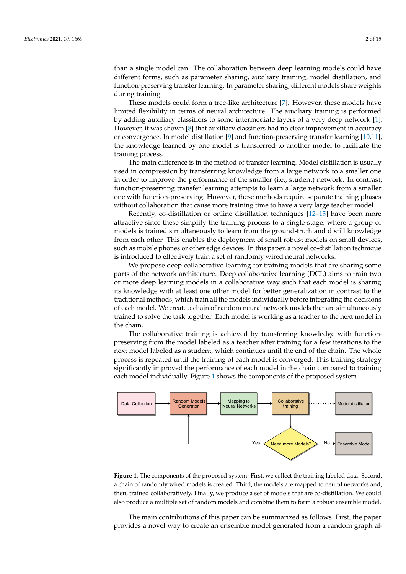than a single model can. The collaboration between deep learning models could have different forms, such as parameter sharing, auxiliary training, model distillation, and function-preserving transfer learning. In parameter sharing, different models share weights during training.

These models could form a tree-like architecture [\[7\]](#page-13-5). However, these models have limited flexibility in terms of neural architecture. The auxiliary training is performed by adding auxiliary classifiers to some intermediate layers of a very deep network [\[1\]](#page-13-0). However, it was shown  $[8]$  that auxiliary classifiers had no clear improvement in accuracy or convergence. In model distillation [\[9\]](#page-13-7) and function-preserving transfer learning [\[10](#page-13-8)[,11\]](#page-13-9), the knowledge learned by one model is transferred to another model to facilitate the training process.

The main difference is in the method of transfer learning. Model distillation is usually used in compression by transferring knowledge from a large network to a smaller one in order to improve the performance of the smaller (i.e., student) network. In contrast, function-preserving transfer learning attempts to learn a large network from a smaller one with function-preserving. However, these methods require separate training phases without collaboration that cause more training time to have a very large teacher model.

Recently, co-distillation or online distillation techniques [\[12–](#page-13-10)[15\]](#page-13-11) have been more attractive since these simplify the training process to a single-stage, where a group of models is trained simultaneously to learn from the ground-truth and distill knowledge from each other. This enables the deployment of small robust models on small devices, such as mobile phones or other edge devices. In this paper, a novel co-distillation technique is introduced to effectively train a set of randomly wired neural networks.

We propose deep collaborative learning for training models that are sharing some parts of the network architecture. Deep collaborative learning (DCL) aims to train two or more deep learning models in a collaborative way such that each model is sharing its knowledge with at least one other model for better generalization in contrast to the traditional methods, which train all the models individually before integrating the decisions of each model. We create a chain of random neural network models that are simultaneously trained to solve the task together. Each model is working as a teacher to the next model in the chain.

The collaborative training is achieved by transferring knowledge with functionpreserving from the model labeled as a teacher after training for a few iterations to the next model labeled as a student, which continues until the end of the chain. The whole process is repeated until the training of each model is converged. This training strategy significantly improved the performance of each model in the chain compared to training each model individually. Figure [1](#page-1-0) shows the components of the proposed system.

<span id="page-1-0"></span>

**Figure 1.** The components of the proposed system. First, we collect the training labeled data. Second, a chain of randomly wired models is created. Third, the models are mapped to neural networks and, then, trained collaboratively. Finally, we produce a set of models that are co-distillation. We could also produce a multiple set of random models and combine them to form a robust ensemble model.

The main contributions of this paper can be summarized as follows. First, the paper provides a novel way to create an ensemble model generated from a random graph al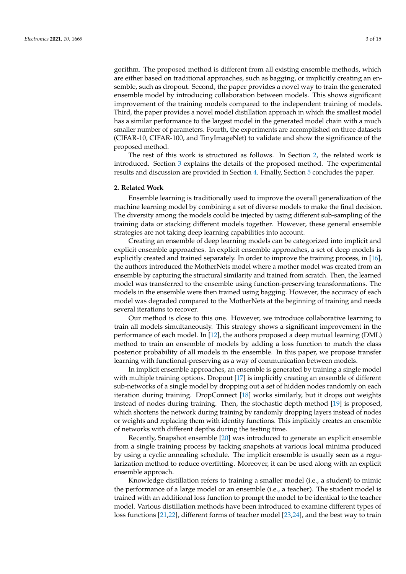gorithm. The proposed method is different from all existing ensemble methods, which are either based on traditional approaches, such as bagging, or implicitly creating an ensemble, such as dropout. Second, the paper provides a novel way to train the generated ensemble model by introducing collaboration between models. This shows significant improvement of the training models compared to the independent training of models. Third, the paper provides a novel model distillation approach in which the smallest model has a similar performance to the largest model in the generated model chain with a much smaller number of parameters. Fourth, the experiments are accomplished on three datasets (CIFAR-10, CIFAR-100, and TinyImageNet) to validate and show the significance of the proposed method.

The rest of this work is structured as follows. In Section [2,](#page-2-0) the related work is introduced. Section [3](#page-3-0) explains the details of the proposed method. The experimental results and discussion are provided in Section [4.](#page-9-0) Finally, Section [5](#page-12-0) concludes the paper.

#### <span id="page-2-0"></span>**2. Related Work**

Ensemble learning is traditionally used to improve the overall generalization of the machine learning model by combining a set of diverse models to make the final decision. The diversity among the models could be injected by using different sub-sampling of the training data or stacking different models together. However, these general ensemble strategies are not taking deep learning capabilities into account.

Creating an ensemble of deep learning models can be categorized into implicit and explicit ensemble approaches. In explicit ensemble approaches, a set of deep models is explicitly created and trained separately. In order to improve the training process, in [\[16\]](#page-13-12), the authors introduced the MotherNets model where a mother model was created from an ensemble by capturing the structural similarity and trained from scratch. Then, the learned model was transferred to the ensemble using function-preserving transformations. The models in the ensemble were then trained using bagging. However, the accuracy of each model was degraded compared to the MotherNets at the beginning of training and needs several iterations to recover.

Our method is close to this one. However, we introduce collaborative learning to train all models simultaneously. This strategy shows a significant improvement in the performance of each model. In [\[12\]](#page-13-10), the authors proposed a deep mutual learning (DML) method to train an ensemble of models by adding a loss function to match the class posterior probability of all models in the ensemble. In this paper, we propose transfer learning with functional-preserving as a way of communication between models.

In implicit ensemble approaches, an ensemble is generated by training a single model with multiple training options. Dropout [\[17\]](#page-13-13) is implicitly creating an ensemble of different sub-networks of a single model by dropping out a set of hidden nodes randomly on each iteration during training. DropConnect [\[18\]](#page-13-14) works similarly, but it drops out weights instead of nodes during training. Then, the stochastic depth method [\[19\]](#page-13-15) is proposed, which shortens the network during training by randomly dropping layers instead of nodes or weights and replacing them with identity functions. This implicitly creates an ensemble of networks with different depths during the testing time.

Recently, Snapshot ensemble [\[20\]](#page-13-16) was introduced to generate an explicit ensemble from a single training process by tacking snapshots at various local minima produced by using a cyclic annealing schedule. The implicit ensemble is usually seen as a regularization method to reduce overfitting. Moreover, it can be used along with an explicit ensemble approach.

Knowledge distillation refers to training a smaller model (i.e., a student) to mimic the performance of a large model or an ensemble (i.e., a teacher). The student model is trained with an additional loss function to prompt the model to be identical to the teacher model. Various distillation methods have been introduced to examine different types of loss functions [\[21](#page-13-17)[,22\]](#page-13-18), different forms of teacher model [\[23](#page-13-19)[,24\]](#page-13-20), and the best way to train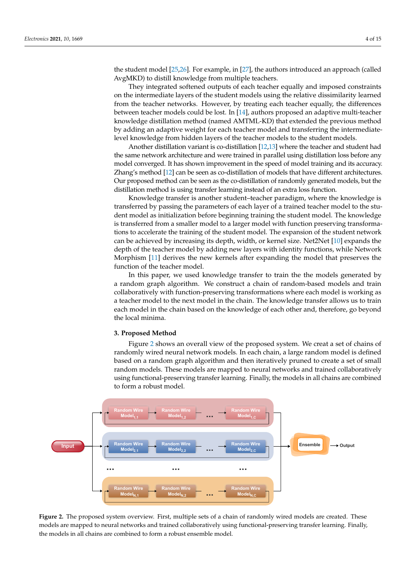the student model [\[25](#page-13-21)[,26\]](#page-14-0). For example, in [\[27\]](#page-14-1), the authors introduced an approach (called AvgMKD) to distill knowledge from multiple teachers.

They integrated softened outputs of each teacher equally and imposed constraints on the intermediate layers of the student models using the relative dissimilarity learned from the teacher networks. However, by treating each teacher equally, the differences between teacher models could be lost. In [\[14\]](#page-13-22), authors proposed an adaptive multi-teacher knowledge distillation method (named AMTML-KD) that extended the previous method by adding an adaptive weight for each teacher model and transferring the intermediatelevel knowledge from hidden layers of the teacher models to the student models.

Another distillation variant is co-distillation [\[12](#page-13-10)[,13\]](#page-13-23) where the teacher and student had the same network architecture and were trained in parallel using distillation loss before any model converged. It has shown improvement in the speed of model training and its accuracy. Zhang's method [\[12\]](#page-13-10) can be seen as co-distillation of models that have different architectures. Our proposed method can be seen as the co-distillation of randomly generated models, but the distillation method is using transfer learning instead of an extra loss function.

Knowledge transfer is another student–teacher paradigm, where the knowledge is transferred by passing the parameters of each layer of a trained teacher model to the student model as initialization before beginning training the student model. The knowledge is transferred from a smaller model to a larger model with function preserving transformations to accelerate the training of the student model. The expansion of the student network can be achieved by increasing its depth, width, or kernel size. Net2Net [\[10\]](#page-13-8) expands the depth of the teacher model by adding new layers with identity functions, while Network Morphism [\[11\]](#page-13-9) derives the new kernels after expanding the model that preserves the function of the teacher model.

In this paper, we used knowledge transfer to train the the models generated by a random graph algorithm. We construct a chain of random-based models and train collaboratively with function-preserving transformations where each model is working as a teacher model to the next model in the chain. The knowledge transfer allows us to train each model in the chain based on the knowledge of each other and, therefore, go beyond the local minima.

## <span id="page-3-0"></span>**3. Proposed Method**

Figure [2](#page-3-1) shows an overall view of the proposed system. We creat a set of chains of randomly wired neural network models. In each chain, a large random model is defined based on a random graph algorithm and then iteratively pruned to create a set of small random models. These models are mapped to neural networks and trained collaboratively using functional-preserving transfer learning. Finally, the models in all chains are combined to form a robust model.

<span id="page-3-1"></span>

**Figure 2.** The proposed system overview. First, multiple sets of a chain of randomly wired models are created. These models are mapped to neural networks and trained collaboratively using functional-preserving transfer learning. Finally, the models in all chains are combined to form a robust ensemble model.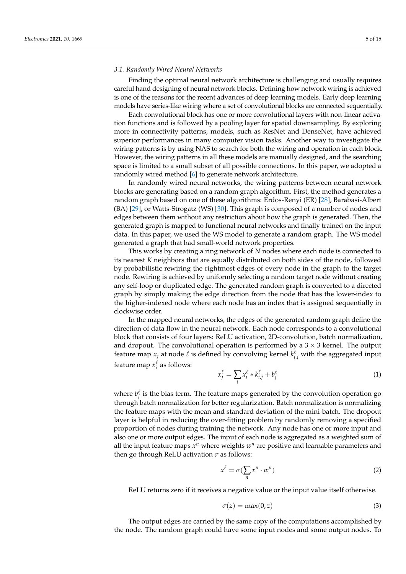#### <span id="page-4-1"></span>*3.1. Randomly Wired Neural Networks*

Finding the optimal neural network architecture is challenging and usually requires careful hand designing of neural network blocks. Defining how network wiring is achieved is one of the reasons for the recent advances of deep learning models. Early deep learning models have series-like wiring where a set of convolutional blocks are connected sequentially.

Each convolutional block has one or more convolutional layers with non-linear activation functions and is followed by a pooling layer for spatial downsampling. By exploring more in connectivity patterns, models, such as ResNet and DenseNet, have achieved superior performances in many computer vision tasks. Another way to investigate the wiring patterns is by using NAS to search for both the wiring and operation in each block. However, the wiring patterns in all these models are manually designed, and the searching space is limited to a small subset of all possible connections. In this paper, we adopted a randomly wired method [\[6\]](#page-13-4) to generate network architecture.

In randomly wired neural networks, the wiring patterns between neural network blocks are generating based on a random graph algorithm. First, the method generates a random graph based on one of these algorithms: Erdos-Renyi (ER) [\[28\]](#page-14-2), Barabasi-Albert (BA) [\[29\]](#page-14-3), or Watts-Strogatz (WS) [\[30\]](#page-14-4). This graph is composed of a number of nodes and edges between them without any restriction about how the graph is generated. Then, the generated graph is mapped to functional neural networks and finally trained on the input data. In this paper, we used the WS model to generate a random graph. The WS model generated a graph that had small-world network properties.

This works by creating a ring network of *N* nodes where each node is connected to its nearest *K* neighbors that are equally distributed on both sides of the node, followed by probabilistic rewiring the rightmost edges of every node in the graph to the target node. Rewiring is achieved by uniformly selecting a random target node without creating any self-loop or duplicated edge. The generated random graph is converted to a directed graph by simply making the edge direction from the node that has the lower-index to the higher-indexed node where each node has an index that is assigned sequentially in clockwise order.

In the mapped neural networks, the edges of the generated random graph define the direction of data flow in the neural network. Each node corresponds to a convolutional block that consists of four layers: ReLU activation, 2D-convolution, batch normalization, and dropout. The convolutional operation is performed by a  $3 \times 3$  kernel. The output feature map  $x_j$  at node  $\ell$  is defined by convolving kernel  $k_{i,j}^{\ell}$  with the aggregated input feature map  $x_i^{\ell}$  as follows:

$$
x_j^{\ell} = \sum_i x_i^{\ell} * k_{i,j}^{\ell} + b_j^{\ell}
$$
 (1)

where  $b_j^{\ell}$  is the bias term. The feature maps generated by the convolution operation go through batch normalization for better regularization. Batch normalization is normalizing the feature maps with the mean and standard deviation of the mini-batch. The dropout layer is helpful in reducing the over-fitting problem by randomly removing a specified proportion of nodes during training the network. Any node has one or more input and also one or more output edges. The input of each node is aggregated as a weighted sum of all the input feature maps  $x^n$  where weights  $w^n$  are positive and learnable parameters and then go through ReLU activation  $\sigma$  as follows:

<span id="page-4-0"></span>
$$
x^{\ell} = \sigma(\sum_{n} x^{n} \cdot w^{n})
$$
 (2)

ReLU returns zero if it receives a negative value or the input value itself otherwise.

$$
\sigma(z) = \max(0, z) \tag{3}
$$

The output edges are carried by the same copy of the computations accomplished by the node. The random graph could have some input nodes and some output nodes. To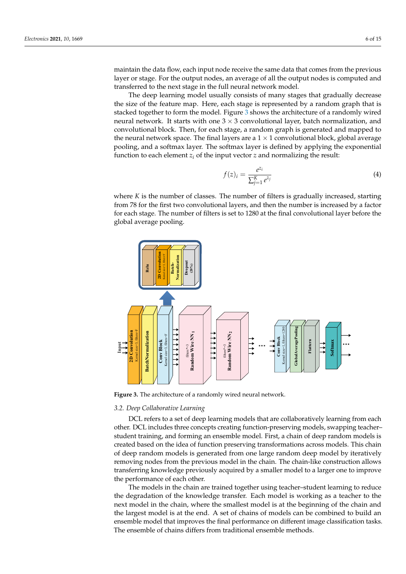maintain the data flow, each input node receive the same data that comes from the previous layer or stage. For the output nodes, an average of all the output nodes is computed and transferred to the next stage in the full neural network model.

The deep learning model usually consists of many stages that gradually decrease the size of the feature map. Here, each stage is represented by a random graph that is stacked together to form the model. Figure [3](#page-5-0) shows the architecture of a randomly wired neural network. It starts with one  $3 \times 3$  convolutional layer, batch normalization, and convolutional block. Then, for each stage, a random graph is generated and mapped to the neural network space. The final layers are a  $1 \times 1$  convolutional block, global average pooling, and a softmax layer. The softmax layer is defined by applying the exponential function to each element  $z_i$  of the input vector  $z$  and normalizing the result:

$$
f(z)_i = \frac{e^{z_i}}{\sum_{j=1}^K e^{z_j}}
$$
 (4)

where *K* is the number of classes. The number of filters is gradually increased, starting from 78 for the first two convolutional layers, and then the number is increased by a factor for each stage. The number of filters is set to 1280 at the final convolutional layer before the global average pooling.

<span id="page-5-0"></span>

**Figure 3.** The architecture of a randomly wired neural network.

#### *3.2. Deep Collaborative Learning*

DCL refers to a set of deep learning models that are collaboratively learning from each other. DCL includes three concepts creating function-preserving models, swapping teacher– student training, and forming an ensemble model. First, a chain of deep random models is created based on the idea of function preserving transformations across models. This chain of deep random models is generated from one large random deep model by iteratively removing nodes from the previous model in the chain. The chain-like construction allows transferring knowledge previously acquired by a smaller model to a larger one to improve the performance of each other.

The models in the chain are trained together using teacher–student learning to reduce the degradation of the knowledge transfer. Each model is working as a teacher to the next model in the chain, where the smallest model is at the beginning of the chain and the largest model is at the end. A set of chains of models can be combined to build an ensemble model that improves the final performance on different image classification tasks. The ensemble of chains differs from traditional ensemble methods.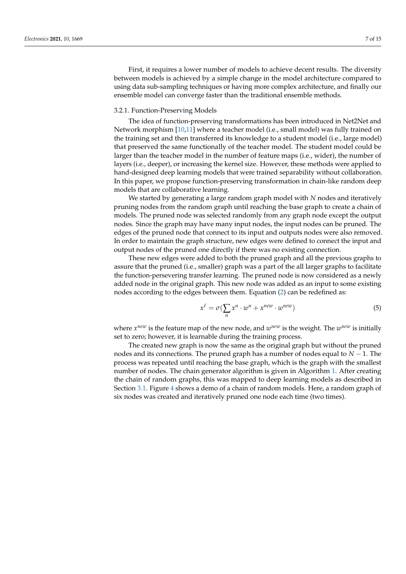First, it requires a lower number of models to achieve decent results. The diversity between models is achieved by a simple change in the model architecture compared to using data sub-sampling techniques or having more complex architecture, and finally our ensemble model can converge faster than the traditional ensemble methods.

# 3.2.1. Function-Preserving Models

The idea of function-preserving transformations has been introduced in Net2Net and Network morphism [\[10](#page-13-8)[,11\]](#page-13-9) where a teacher model (i.e., small model) was fully trained on the training set and then transferred its knowledge to a student model (i.e., large model) that preserved the same functionally of the teacher model. The student model could be larger than the teacher model in the number of feature maps (i.e., wider), the number of layers (i.e., deeper), or increasing the kernel size. However, these methods were applied to hand-designed deep learning models that were trained separability without collaboration. In this paper, we propose function-preserving transformation in chain-like random deep models that are collaborative learning.

We started by generating a large random graph model with *N* nodes and iteratively pruning nodes from the random graph until reaching the base graph to create a chain of models. The pruned node was selected randomly from any graph node except the output nodes. Since the graph may have many input nodes, the input nodes can be pruned. The edges of the pruned node that connect to its input and outputs nodes were also removed. In order to maintain the graph structure, new edges were defined to connect the input and output nodes of the pruned one directly if there was no existing connection.

These new edges were added to both the pruned graph and all the previous graphs to assure that the pruned (i.e., smaller) graph was a part of the all larger graphs to facilitate the function-persevering transfer learning. The pruned node is now considered as a newly added node in the original graph. This new node was added as an input to some existing nodes according to the edges between them. Equation [\(2\)](#page-4-0) can be redefined as:

$$
x^{\ell} = \sigma(\sum_{n} x^{n} \cdot w^{n} + x^{new} \cdot w^{new})
$$
\n(5)

where  $x^{new}$  is the feature map of the new node, and  $w^{new}$  is the weight. The  $w^{new}$  is initially set to zero; however, it is learnable during the training process.

The created new graph is now the same as the original graph but without the pruned nodes and its connections. The pruned graph has a number of nodes equal to *N* − 1. The process was repeated until reaching the base graph, which is the graph with the smallest number of nodes. The chain generator algorithm is given in Algorithm [1.](#page-7-0) After creating the chain of random graphs, this was mapped to deep learning models as described in Section [3.1.](#page-4-1) Figure [4](#page-7-1) shows a demo of a chain of random models. Here, a random graph of six nodes was created and iteratively pruned one node each time (two times).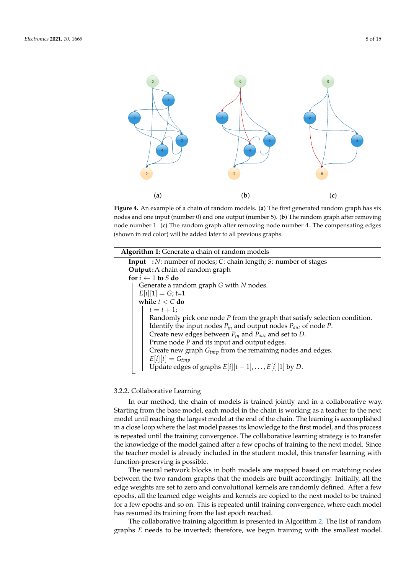<span id="page-7-1"></span>

**Figure 4.** An example of a chain of random models. (**a**) The first generated random graph has six nodes and one input (number 0) and one output (number 5). (**b**) The random graph after removing node number 1. (**c**) The random graph after removing node number 4. The compensating edges (shown in red color) will be added later to all previous graphs.

| <b>Algorithm 1:</b> Generate a chain of random models                       |
|-----------------------------------------------------------------------------|
| <b>Input</b> : N: number of nodes; C: chain length; S: number of stages     |
| <b>Output:</b> A chain of random graph                                      |
| for $i \leftarrow 1$ to S do                                                |
| Generate a random graph G with N nodes.                                     |
| $E[i][1] = G; t=1$                                                          |
| while $t < C$ do                                                            |
| $t = t + 1;$                                                                |
| Randomly pick one node $P$ from the graph that satisfy selection condition. |
| Identify the input nodes $P_{in}$ and output nodes $P_{out}$ of node P.     |
| Create new edges between $P_{in}$ and $P_{out}$ and set to D.               |
| Prune node $P$ and its input and output edges.                              |
| Create new graph $G_{tmp}$ from the remaining nodes and edges.              |
| $E[i][t] = G_{tmp}$                                                         |
| Update edges of graphs $E[i][t-1], \ldots, E[i][1]$ by D.                   |
|                                                                             |

## <span id="page-7-0"></span>3.2.2. Collaborative Learning

In our method, the chain of models is trained jointly and in a collaborative way. Starting from the base model, each model in the chain is working as a teacher to the next model until reaching the largest model at the end of the chain. The learning is accomplished in a close loop where the last model passes its knowledge to the first model, and this process is repeated until the training convergence. The collaborative learning strategy is to transfer the knowledge of the model gained after a few epochs of training to the next model. Since the teacher model is already included in the student model, this transfer learning with function-preserving is possible.

The neural network blocks in both models are mapped based on matching nodes between the two random graphs that the models are built accordingly. Initially, all the edge weights are set to zero and convolutional kernels are randomly defined. After a few epochs, all the learned edge weights and kernels are copied to the next model to be trained for a few epochs and so on. This is repeated until training convergence, where each model has resumed its training from the last epoch reached.

The collaborative training algorithm is presented in Algorithm [2.](#page-8-0) The list of random graphs *E* needs to be inverted; therefore, we begin training with the smallest model.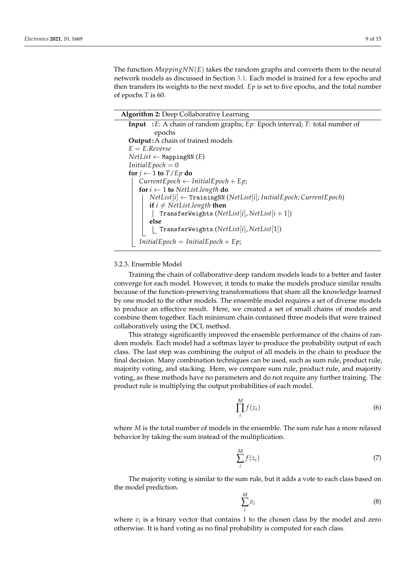The function *MappingNN*(*E*) takes the random graphs and converts them to the neural network models as discussed in Section [3.1.](#page-4-1) Each model is trained for a few epochs and then transfers its weights to the next model. *Ep* is set to five epochs, and the total number of epochs *T* is 60.

**Algorithm 2:** Deep Collaborative Learning

## <span id="page-8-0"></span>3.2.3. Ensemble Model

Training the chain of collaborative deep random models leads to a better and faster converge for each model. However, it tends to make the models produce similar results because of the function-preserving transformations that share all the knowledge learned by one model to the other models. The ensemble model requires a set of diverse models to produce an effective result. Here, we created a set of small chains of models and combine them together. Each minimum chain contained three models that were trained collaboratively using the DCL method.

This strategy significantly improved the ensemble performance of the chains of random models. Each model had a softmax layer to produce the probability output of each class. The last step was combining the output of all models in the chain to produce the final decision. Many combination techniques can be used, such as sum rule, product rule, majority voting, and stacking. Here, we compare sum rule, product rule, and majority voting, as these methods have no parameters and do not require any further training. The product rule is multiplying the output probabilities of each model.

$$
\prod_{i}^{M} f(z_i) \tag{6}
$$

where *M* is the total number of models in the ensemble. The sum rule has a more relaxed behavior by taking the sum instead of the multiplication.

$$
\sum_{i}^{M} f(z_i) \tag{7}
$$

The majority voting is similar to the sum rule, but it adds a vote to each class based on the model prediction.

$$
\sum_{i}^{M} v_i \tag{8}
$$

where  $v_i$  is a binary vector that contains 1 to the chosen class by the model and zero otherwise. It is hard voting as no final probability is computed for each class.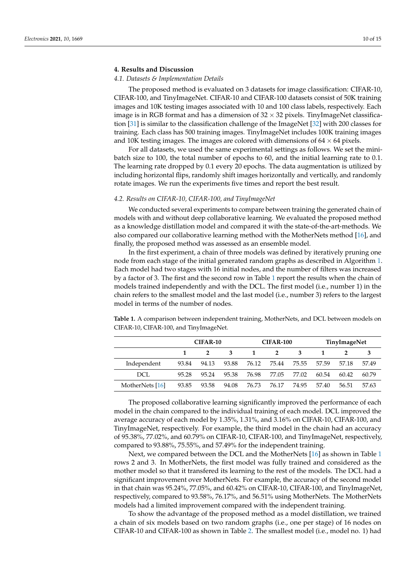# <span id="page-9-0"></span>**4. Results and Discussion**

#### *4.1. Datasets & Implementation Details*

The proposed method is evaluated on 3 datasets for image classification: CIFAR-10, CIFAR-100, and TinyImageNet. CIFAR-10 and CIFAR-100 datasets consist of 50K training images and 10K testing images associated with 10 and 100 class labels, respectively. Each image is in RGB format and has a dimension of  $32 \times 32$  pixels. TinyImageNet classification [\[31\]](#page-14-5) is similar to the classification challenge of the ImageNet [\[32\]](#page-14-6) with 200 classes for training. Each class has 500 training images. TinyImageNet includes 100K training images and 10K testing images. The images are colored with dimensions of  $64 \times 64$  pixels.

For all datasets, we used the same experimental settings as follows. We set the minibatch size to 100, the total number of epochs to 60, and the initial learning rate to 0.1. The learning rate dropped by 0.1 every 20 epochs. The data augmentation is utilized by including horizontal flips, randomly shift images horizontally and vertically, and randomly rotate images. We run the experiments five times and report the best result.

## *4.2. Results on CIFAR-10, CIFAR-100, and TinyImageNet*

We conducted several experiments to compare between training the generated chain of models with and without deep collaborative learning. We evaluated the proposed method as a knowledge distillation model and compared it with the state-of-the-art-methods. We also compared our collaborative learning method with the MotherNets method [\[16\]](#page-13-12), and finally, the proposed method was assessed as an ensemble model.

In the first experiment, a chain of three models was defined by iteratively pruning one node from each stage of the initial generated random graphs as described in Algorithm [1.](#page-7-0) Each model had two stages with 16 initial nodes, and the number of filters was increased by a factor of 3. The first and the second row in Table [1](#page-9-1) report the results when the chain of models trained independently and with the DCL. The first model (i.e., number 1) in the chain refers to the smallest model and the last model (i.e., number 3) refers to the largest model in terms of the number of nodes.

|                 | <b>CIFAR-10</b> |       |       |              | CIFAR-100      |       | TinyImageNet |       |       |  |
|-----------------|-----------------|-------|-------|--------------|----------------|-------|--------------|-------|-------|--|
|                 |                 |       | 3     | $\mathbf{1}$ | $\overline{2}$ | -3    | 1            |       |       |  |
| Independent     | 93.84           | 94.13 | 93.88 | 76.12        | 75.44          | 75.55 | 57.59        | 57.18 | 57.49 |  |
| DCL.            | 95.28           | 95.24 | 95.38 | 76.98        | 77.05          | 77.02 | 60.54        | 60.42 | 60.79 |  |
| MotherNets [16] | 93.85           | 93.58 | 94.08 | 76.73        | 76.17          | 74.95 | 57.40        | 56.51 | 57.63 |  |

<span id="page-9-1"></span>**Table 1.** A comparison between independent training, MotherNets, and DCL between models on CIFAR-10, CIFAR-100, and TinyImageNet.

The proposed collaborative learning significantly improved the performance of each model in the chain compared to the individual training of each model. DCL improved the average accuracy of each model by 1.35%, 1.31%, and 3.16% on CIFAR-10, CIFAR-100, and TinyImageNet, respectively. For example, the third model in the chain had an accuracy of 95.38%, 77.02%, and 60.79% on CIFAR-10, CIFAR-100, and TinyImageNet, respectively, compared to 93.88%, 75.55%, and 57.49% for the independent training.

Next, we compared between the DCL and the MotherNets [\[16\]](#page-13-12) as shown in Table [1](#page-9-1) rows 2 and 3. In MotherNets, the first model was fully trained and considered as the mother model so that it transfered its learning to the rest of the models. The DCL had a significant improvement over MotherNets. For example, the accuracy of the second model in that chain was 95.24%, 77.05%, and 60.42% on CIFAR-10, CIFAR-100, and TinyImageNet, respectively, compared to 93.58%, 76.17%, and 56.51% using MotherNets. The MotherNets models had a limited improvement compared with the independent training.

To show the advantage of the proposed method as a model distillation, we trained a chain of six models based on two random graphs (i.e., one per stage) of 16 nodes on CIFAR-10 and CIFAR-100 as shown in Table [2.](#page-10-0) The smallest model (i.e., model no. 1) had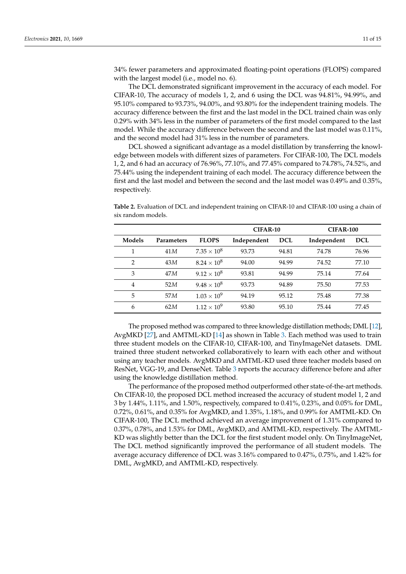34% fewer parameters and approximated floating-point operations (FLOPS) compared with the largest model (i.e., model no. 6).

The DCL demonstrated significant improvement in the accuracy of each model. For CIFAR-10, The accuracy of models 1, 2, and 6 using the DCL was 94.81%, 94.99%, and 95.10% compared to 93.73%, 94.00%, and 93.80% for the independent training models. The accuracy difference between the first and the last model in the DCL trained chain was only 0.29% with 34% less in the number of parameters of the first model compared to the last model. While the accuracy difference between the second and the last model was 0.11%, and the second model had 31% less in the number of parameters.

DCL showed a significant advantage as a model distillation by transferring the knowledge between models with different sizes of parameters. For CIFAR-100, The DCL models 1, 2, and 6 had an accuracy of 76.96%, 77.10%, and 77.45% compared to 74.78%, 74.52%, and 75.44% using the independent training of each model. The accuracy difference between the first and the last model and between the second and the last model was 0.49% and 0.35%, respectively.

**CIFAR-10 CIFAR-100 Models Parameters FLOPS Independent DCL Independent DCL** 1 41 $M$  7.35 × 10<sup>8</sup> 93.73 94.81 74.78 76.96 2 43 $M$   $8.24 \times 10^8$  94.00 94.99 74.52 77.10

<span id="page-10-0"></span>**Table 2.** Evaluation of DCL and independent training on CIFAR-10 and CIFAR-100 using a chain of six random models.

The proposed method was compared to three knowledge distillation methods; DML [\[12\]](#page-13-10), AvgMKD [\[27\]](#page-14-1), and AMTML-KD [\[14\]](#page-13-22) as shown in Table [3.](#page-11-0) Each method was used to train three student models on the CIFAR-10, CIFAR-100, and TinyImageNet datasets. DML trained three student networked collaboratively to learn with each other and without using any teacher models. AvgMKD and AMTML-KD used three teacher models based on ResNet, VGG-19, and DenseNet. Table [3](#page-11-0) reports the accuracy difference before and after using the knowledge distillation method.

The performance of the proposed method outperformed other state-of-the-art methods. On CIFAR-10, the proposed DCL method increased the accuracy of student model 1, 2 and 3 by 1.44%, 1.11%, and 1.50%, respectively, compared to 0.41%, 0.23%, and 0.05% for DML, 0.72%, 0.61%, and 0.35% for AvgMKD, and 1.35%, 1.18%, and 0.99% for AMTML-KD. On CIFAR-100, The DCL method achieved an average improvement of 1.31% compared to 0.37%, 0.78%, and 1.53% for DML, AvgMKD, and AMTML-KD, respectively. The AMTML-KD was slightly better than the DCL for the first student model only. On TinyImageNet, The DCL method significantly improved the performance of all student models. The average accuracy difference of DCL was 3.16% compared to 0.47%, 0.75%, and 1.42% for DML, AvgMKD, and AMTML-KD, respectively.

|        |                   |                      | CIFAR-10    |            | <b>CIFAR-100</b> |            |  |
|--------|-------------------|----------------------|-------------|------------|------------------|------------|--|
| Models | <b>Parameters</b> | <b>FLOPS</b>         | Independent | <b>DCL</b> | Independent      | <b>DCL</b> |  |
|        | 41 M              | $7.35 \times 10^8$   | 93.73       | 94.81      | 74.78            | 76.96      |  |
| 2      | 43M               | $8.24 \times 10^8$   | 94.00       | 94.99      | 74.52            | 77.10      |  |
| 3      | 47 M              | $9.12 \times 10^8$   | 93.81       | 94.99      | 75.14            | 77.64      |  |
| 4      | 52M               | $9.48 \times 10^8$   | 93.73       | 94.89      | 75.50            | 77.53      |  |
| 5      | 57M               | $1.03 \times 10^{9}$ | 94.19       | 95.12      | 75.48            | 77.38      |  |
| 6      | 62M               | $1.12 \times 10^{9}$ | 93.80       | 95.10      | 75.44            | 77.45      |  |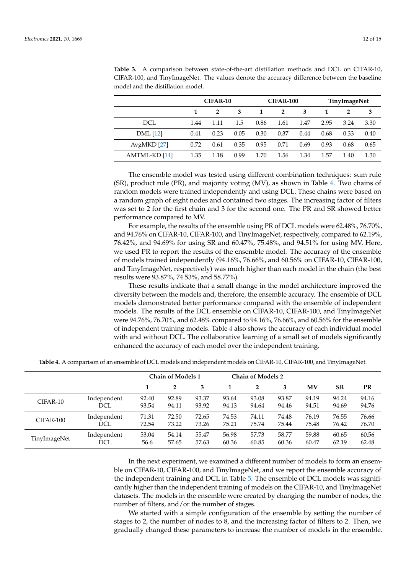|                 |      | CIFAR-10 |      |      | <b>CIFAR-100</b> |      |      | TinyImageNet   |      |  |
|-----------------|------|----------|------|------|------------------|------|------|----------------|------|--|
|                 |      |          | 3    | 1    | $\overline{2}$   | 3    |      | $\overline{2}$ | 3    |  |
| DCL             | 1.44 | 1.11     | 1.5  | 0.86 | 1.61             | 1.47 | 2.95 | 3.24           | 3.30 |  |
| <b>DML</b> [12] | 0.41 | 0.23     | 0.05 | 0.30 | 0.37             | 0.44 | 0.68 | 0.33           | 0.40 |  |
| AvgMKD[27]      | 0.72 | 0.61     | 0.35 | 0.95 | 0.71             | 0.69 | 0.93 | 0.68           | 0.65 |  |
| AMTML-KD [14]   | 1.35 | 1.18     | 0.99 | 1.70 | 1.56             | 1.34 | 1.57 | 1.40           | 1.30 |  |

<span id="page-11-0"></span>**Table 3.** A comparison between state-of-the-art distillation methods and DCL on CIFAR-10, CIFAR-100, and TinyImageNet. The values denote the accuracy difference between the baseline model and the distillation model.

The ensemble model was tested using different combination techniques: sum rule (SR), product rule (PR), and majority voting (MV), as shown in Table [4.](#page-11-1) Two chains of random models were trained independently and using DCL. These chains were based on a random graph of eight nodes and contained two stages. The increasing factor of filters was set to 2 for the first chain and 3 for the second one. The PR and SR showed better performance compared to MV.

For example, the results of the ensemble using PR of DCL models were 62.48%, 76.70%, and 94.76% on CIFAR-10, CIFAR-100, and TinyImageNet, respectively, compared to 62.19%, 76.42%, and 94.69% for using SR and 60.47%, 75.48%, and 94.51% for using MV. Here, we used PR to report the results of the ensemble model. The accuracy of the ensemble of models trained independently (94.16%, 76.66%, and 60.56% on CIFAR-10, CIFAR-100, and TinyImageNet, respectively) was much higher than each model in the chain (the best results were 93.87%, 74.53%, and 58.77%).

These results indicate that a small change in the model architecture improved the diversity between the models and, therefore, the ensemble accuracy. The ensemble of DCL models demonstrated better performance compared with the ensemble of independent models. The results of the DCL ensemble on CIFAR-10, CIFAR-100, and TinyImageNet were 94.76%, 76.70%, and 62.48% compared to 94.16%, 76.66%, and 60.56% for the ensemble of independent training models. Table [4](#page-11-1) also shows the accuracy of each individual model with and without DCL. The collaborative learning of a small set of models significantly enhanced the accuracy of each model over the independent training.

<span id="page-11-1"></span>

|  |  |  |  | Table 4. A comparison of an ensemble of DCL models and independent models on CIFAR-10, CIFAR-100, and TinyImageNet. |
|--|--|--|--|---------------------------------------------------------------------------------------------------------------------|
|--|--|--|--|---------------------------------------------------------------------------------------------------------------------|

|              |             | <b>Chain of Models 1</b> |       | <b>Chain of Models 2</b> |       |              |       |       |           |           |
|--------------|-------------|--------------------------|-------|--------------------------|-------|--------------|-------|-------|-----------|-----------|
|              |             |                          | 2     | 3                        |       | $\mathbf{2}$ | 3     | MV    | <b>SR</b> | <b>PR</b> |
| CIFAR-10     | Independent | 92.40                    | 92.89 | 93.37                    | 93.64 | 93.08        | 93.87 | 94.19 | 94.24     | 94.16     |
|              | DCL         | 93.54                    | 94.11 | 93.92                    | 94.13 | 94.64        | 94.46 | 94.51 | 94.69     | 94.76     |
| CIFAR-100    | Independent | 71.31                    | 72.50 | 72.65                    | 74.53 | 74.11        | 74.48 | 76.19 | 76.55     | 76.66     |
|              | DCL         | 72.54                    | 73.22 | 73.26                    | 75.21 | 75.74        | 75.44 | 75.48 | 76.42     | 76.70     |
| TinyImageNet | Independent | 53.04                    | 54.14 | 55.47                    | 56.98 | 57.73        | 58.77 | 59.88 | 60.65     | 60.56     |
|              | DCL         | 56.6                     | 57.65 | 57.63                    | 60.36 | 60.85        | 60.36 | 60.47 | 62.19     | 62.48     |

In the next experiment, we examined a different number of models to form an ensemble on CIFAR-10, CIFAR-100, and TinyImageNet, and we report the ensemble accuracy of the independent training and DCL in Table [5.](#page-12-1) The ensemble of DCL models was significantly higher than the independent training of models on the CIFAR-10, and TinyImageNet datasets. The models in the ensemble were created by changing the number of nodes, the number of filters, and/or the number of stages.

We started with a simple configuration of the ensemble by setting the number of stages to 2, the number of nodes to 8, and the increasing factor of filters to 2. Then, we gradually changed these parameters to increase the number of models in the ensemble.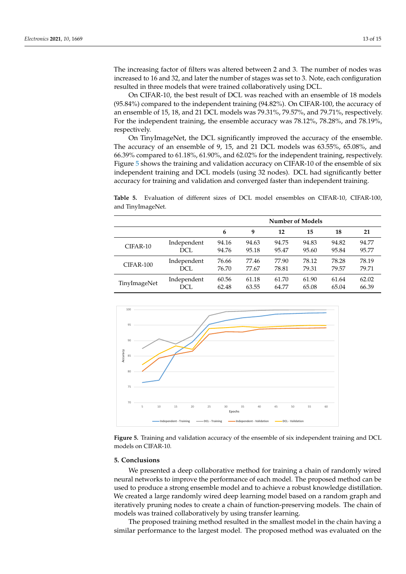The increasing factor of filters was altered between 2 and 3. The number of nodes was increased to 16 and 32, and later the number of stages was set to 3. Note, each configuration resulted in three models that were trained collaboratively using DCL.

On CIFAR-10, the best result of DCL was reached with an ensemble of 18 models (95.84%) compared to the independent training (94.82%). On CIFAR-100, the accuracy of an ensemble of 15, 18, and 21 DCL models was 79.31%, 79.57%, and 79.71%, respectively. For the independent training, the ensemble accuracy was 78.12%, 78.28%, and 78.19%, respectively.

On TinyImageNet, the DCL significantly improved the accuracy of the ensemble. The accuracy of an ensemble of 9, 15, and 21 DCL models was 63.55%, 65.08%, and 66.39% compared to 61.18%, 61.90%, and 62.02% for the independent training, respectively. Figure [5](#page-12-2) shows the training and validation accuracy on CIFAR-10 of the ensemble of six independent training and DCL models (using 32 nodes). DCL had significantly better accuracy for training and validation and converged faster than independent training.

<span id="page-12-1"></span>**Table 5.** Evaluation of different sizes of DCL model ensembles on CIFAR-10, CIFAR-100, and TinyImageNet.

|              |             | <b>Number of Models</b> |       |       |       |       |       |  |  |
|--------------|-------------|-------------------------|-------|-------|-------|-------|-------|--|--|
|              |             | 6                       | 9     | 12    | 15    | 18    | 21    |  |  |
| CIFAR-10     | Independent | 94.16                   | 94.63 | 94.75 | 94.83 | 94.82 | 94.77 |  |  |
|              | DCL         | 94.76                   | 95.18 | 95.47 | 95.60 | 95.84 | 95.77 |  |  |
| CIFAR-100    | Independent | 76.66                   | 77.46 | 77.90 | 78.12 | 78.28 | 78.19 |  |  |
|              | DCL         | 76.70                   | 77.67 | 78.81 | 79.31 | 79.57 | 79.71 |  |  |
| TinyImageNet | Independent | 60.56                   | 61.18 | 61.70 | 61.90 | 61.64 | 62.02 |  |  |
|              | DCL         | 62.48                   | 63.55 | 64.77 | 65.08 | 65.04 | 66.39 |  |  |

<span id="page-12-2"></span>

**Figure 5.** Training and validation accuracy of the ensemble of six independent training and DCL models on CIFAR-10.

#### <span id="page-12-0"></span>**5. Conclusions**

We presented a deep collaborative method for training a chain of randomly wired neural networks to improve the performance of each model. The proposed method can be used to produce a strong ensemble model and to achieve a robust knowledge distillation. We created a large randomly wired deep learning model based on a random graph and iteratively pruning nodes to create a chain of function-preserving models. The chain of models was trained collaboratively by using transfer learning.

The proposed training method resulted in the smallest model in the chain having a similar performance to the largest model. The proposed method was evaluated on the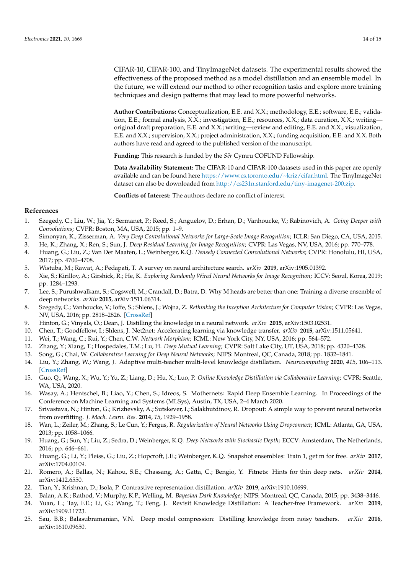CIFAR-10, CIFAR-100, and TinyImageNet datasets. The experimental results showed the effectiveness of the proposed method as a model distillation and an ensemble model. In the future, we will extend our method to other recognition tasks and explore more training techniques and design patterns that may lead to more powerful networks.

**Author Contributions:** Conceptualization, E.E. and X.X.; methodology, E.E.; software, E.E.; validation, E.E.; formal analysis, X.X.; investigation, E.E.; resources, X.X.; data curation, X.X.; writing original draft preparation, E.E. and X.X.; writing—review and editing, E.E. and X.X.; visualization, E.E. and X.X.; supervision, X.X.; project administration, X.X.; funding acquisition, E.E. and X.X. Both authors have read and agreed to the published version of the manuscript.

Funding: This research is funded by the *Sêr* Cymru COFUND Fellowship.

**Data Availability Statement:** The CIFAR-10 and CIFAR-100 datasets used in this paper are openly available and can be found here [https://www.cs.toronto.edu/~kriz/cifar.html.](https://www.cs.toronto.edu/~kriz/cifar.html) The TinyImageNet dataset can also be downloaded from [http://cs231n.stanford.edu/tiny-imagenet-200.zip.](http://cs231n.stanford.edu/tiny-imagenet-200.zip)

**Conflicts of Interest:** The authors declare no conflict of interest.

#### **References**

- <span id="page-13-0"></span>1. Szegedy, C.; Liu, W.; Jia, Y.; Sermanet, P.; Reed, S.; Anguelov, D.; Erhan, D.; Vanhoucke, V.; Rabinovich, A. *Going Deeper with Convolutions*; CVPR: Boston, MA, USA, 2015; pp. 1–9.
- 2. Simonyan, K.; Zisserman, A. *Very Deep Convolutional Networks for Large-Scale Image Recognition*; ICLR: San Diego, CA, USA, 2015.
- <span id="page-13-1"></span>3. He, K.; Zhang, X.; Ren, S.; Sun, J. *Deep Residual Learning for Image Recognition*; CVPR: Las Vegas, NV, USA, 2016; pp. 770–778.
- <span id="page-13-2"></span>4. Huang, G.; Liu, Z.; Van Der Maaten, L.; Weinberger, K.Q. *Densely Connected Convolutional Networks*; CVPR: Honolulu, HI, USA, 2017; pp. 4700–4708.
- <span id="page-13-3"></span>5. Wistuba, M.; Rawat, A.; Pedapati, T. A survey on neural architecture search. *arXiv* **2019**, arXiv:1905.01392.
- <span id="page-13-4"></span>6. Xie, S.; Kirillov, A.; Girshick, R.; He, K. *Exploring Randomly Wired Neural Networks for Image Recognition*; ICCV: Seoul, Korea, 2019; pp. 1284–1293.
- <span id="page-13-5"></span>7. Lee, S.; Purushwalkam, S.; Cogswell, M.; Crandall, D.; Batra, D. Why M heads are better than one: Training a diverse ensemble of deep networks. *arXiv* **2015**, arXiv:1511.06314.
- <span id="page-13-6"></span>8. Szegedy, C.; Vanhoucke, V.; Ioffe, S.; Shlens, J.; Wojna, Z. *Rethinking the Inception Architecture for Computer Vision*; CVPR: Las Vegas, NV, USA, 2016; pp. 2818–2826. [\[CrossRef\]](http://doi.org/10.1109/CVPR.2016.308)
- <span id="page-13-7"></span>9. Hinton, G.; Vinyals, O.; Dean, J. Distilling the knowledge in a neural network. *arXiv* **2015**, arXiv:1503.02531.
- <span id="page-13-8"></span>10. Chen, T.; Goodfellow, I.; Shlens, J. Net2net: Accelerating learning via knowledge transfer. *arXiv* **2015**, arXiv:1511.05641.
- <span id="page-13-9"></span>11. Wei, T.; Wang, C.; Rui, Y.; Chen, C.W. *Network Morphism*; ICML: New York City, NY, USA, 2016; pp. 564–572.
- <span id="page-13-10"></span>12. Zhang, Y.; Xiang, T.; Hospedales, T.M.; Lu, H. *Deep Mutual Learning*; CVPR: Salt Lake City, UT, USA, 2018; pp. 4320–4328.
- <span id="page-13-23"></span>13. Song, G.; Chai, W. *Collaborative Learning for Deep Neural Networks*; NIPS: Montreal, QC, Canada, 2018; pp. 1832–1841.
- <span id="page-13-22"></span>14. Liu, Y.; Zhang, W.; Wang, J. Adaptive multi-teacher multi-level knowledge distillation. *Neurocomputing* **2020**, *415*, 106–113. [\[CrossRef\]](http://dx.doi.org/10.1016/j.neucom.2020.07.048)
- <span id="page-13-11"></span>15. Guo, Q.; Wang, X.; Wu, Y.; Yu, Z.; Liang, D.; Hu, X.; Luo, P. *Online Knowledge Distillation via Collaborative Learning*; CVPR: Seattle, WA, USA, 2020.
- <span id="page-13-12"></span>16. Wasay, A.; Hentschel, B.; Liao, Y.; Chen, S.; Idreos, S. Mothernets: Rapid Deep Ensemble Learning. In Proceedings of the Conference on Machine Learning and Systems (MLSys), Austin, TX, USA, 2–4 March 2020.
- <span id="page-13-13"></span>17. Srivastava, N.; Hinton, G.; Krizhevsky, A.; Sutskever, I.; Salakhutdinov, R. Dropout: A simple way to prevent neural networks from overfitting. *J. Mach. Learn. Res.* **2014**, *15*, 1929–1958.
- <span id="page-13-14"></span>18. Wan, L.; Zeiler, M.; Zhang, S.; Le Cun, Y.; Fergus, R. *Regularization of Neural Networks Using Dropconnect*; ICML: Atlanta, GA, USA, 2013; pp. 1058–1066.
- <span id="page-13-15"></span>19. Huang, G.; Sun, Y.; Liu, Z.; Sedra, D.; Weinberger, K.Q. *Deep Networks with Stochastic Depth*; ECCV: Amsterdam, The Netherlands, 2016; pp. 646–661.
- <span id="page-13-16"></span>20. Huang, G.; Li, Y.; Pleiss, G.; Liu, Z.; Hopcroft, J.E.; Weinberger, K.Q. Snapshot ensembles: Train 1, get m for free. *arXiv* **2017**, arXiv:1704.00109.
- <span id="page-13-17"></span>21. Romero, A.; Ballas, N.; Kahou, S.E.; Chassang, A.; Gatta, C.; Bengio, Y. Fitnets: Hints for thin deep nets. *arXiv* **2014**, arXiv:1412.6550.
- <span id="page-13-18"></span>22. Tian, Y.; Krishnan, D.; Isola, P. Contrastive representation distillation. *arXiv* **2019**, arXiv:1910.10699.
- <span id="page-13-19"></span>23. Balan, A.K.; Rathod, V.; Murphy, K.P.; Welling, M. *Bayesian Dark Knowledge*; NIPS: Montreal, QC, Canada, 2015; pp. 3438–3446.
- <span id="page-13-20"></span>24. Yuan, L.; Tay, F.E.; Li, G.; Wang, T.; Feng, J. Revisit Knowledge Distillation: A Teacher-free Framework. *arXiv* **2019**, arXiv:1909.11723.
- <span id="page-13-21"></span>25. Sau, B.B.; Balasubramanian, V.N. Deep model compression: Distilling knowledge from noisy teachers. *arXiv* **2016**, arXiv:1610.09650.